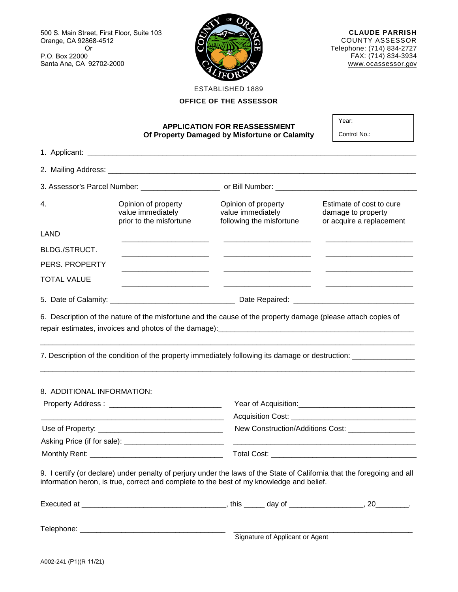

**CLAUDE PARRISH** COUNTY ASSESSOR Telephone: (714) 834-2727 FAX: (714) 834-3934 [www.ocassessor](http://www.ocgov.com/assessor/).gov

Year:

Control No.:

ESTABLISHED 1889

#### **OFFICE OF THE ASSESSOR**

#### **APPLICATION FOR REASSESSMENT Of Property Damaged by Misfortune or Calamity**

1. Applicant: \_\_\_\_\_\_\_\_\_\_\_\_\_\_\_\_\_\_\_\_\_\_\_\_\_\_\_\_\_\_\_\_\_\_\_\_\_\_\_\_\_\_\_\_\_\_\_\_\_\_\_\_\_\_\_\_\_\_\_\_\_\_\_\_\_\_\_\_\_\_\_\_\_\_\_\_\_\_\_ 2. Mailing Address: **with a strategies of the strategies of the strategies of the strategies** of the strategies of the strategies of the strategies of the strategies of the strategies of the strategies of the strategies of 3. Assessor's Parcel Number: <br>
or Bill Number: 4. Opinion of property value immediately prior to the misfortune Opinion of property value immediately following the misfortune Estimate of cost to cure damage to property or acquire a replacement LAND \_\_\_\_\_\_\_\_\_\_\_\_\_\_\_\_\_\_\_\_\_ \_\_\_\_\_\_\_\_\_\_\_\_\_\_\_\_\_\_\_\_\_ \_\_\_\_\_\_\_\_\_\_\_\_\_\_\_\_\_\_\_\_\_ BLDG./STRUCT. \_\_\_\_\_\_\_\_\_\_\_\_\_\_\_\_\_\_\_\_\_ \_\_\_\_\_\_\_\_\_\_\_\_\_\_\_\_\_\_\_\_\_ \_\_\_\_\_\_\_\_\_\_\_\_\_\_\_\_\_\_\_\_\_ PERS. PROPERTY \_\_\_\_\_\_\_\_\_\_\_\_\_\_\_\_\_\_\_\_\_ \_\_\_\_\_\_\_\_\_\_\_\_\_\_\_\_\_\_\_\_\_ \_\_\_\_\_\_\_\_\_\_\_\_\_\_\_\_\_\_\_\_\_ TOTAL VALUE \_\_\_\_\_\_\_\_\_\_\_\_\_\_\_\_\_\_\_\_\_ \_\_\_\_\_\_\_\_\_\_\_\_\_\_\_\_\_\_\_\_\_ \_\_\_\_\_\_\_\_\_\_\_\_\_\_\_\_\_\_\_\_\_ 5. Date of Calamity: \_\_\_\_\_\_\_\_\_\_\_\_\_\_\_\_\_\_\_\_\_\_\_\_\_\_\_\_\_\_ Date Repaired: \_\_\_\_\_\_\_\_\_\_\_\_\_\_\_\_\_\_\_\_\_\_\_\_\_\_\_\_\_ 6. Description of the nature of the misfortune and the cause of the property damage (please attach copies of repair estimates, invoices and photos of the damage): **produce** and  $\frac{1}{2}$ \_\_\_\_\_\_\_\_\_\_\_\_\_\_\_\_\_\_\_\_\_\_\_\_\_\_\_\_\_\_\_\_\_\_\_\_\_\_\_\_\_\_\_\_\_\_\_\_\_\_\_\_\_\_\_\_\_\_\_\_\_\_\_\_\_\_\_\_\_\_\_\_\_\_\_\_\_\_\_\_\_\_\_\_\_\_\_\_\_\_

7. Description of the condition of the property immediately following its damage or destruction: \_\_\_\_\_\_\_\_\_\_\_\_\_

|  | New Construction/Additions Cost: __________________                                                                                                                                                                 |  |
|--|---------------------------------------------------------------------------------------------------------------------------------------------------------------------------------------------------------------------|--|
|  |                                                                                                                                                                                                                     |  |
|  |                                                                                                                                                                                                                     |  |
|  |                                                                                                                                                                                                                     |  |
|  | 9. I certify (or declare) under penalty of perjury under the laws of the State of California that the foregoing and all<br>information heron, is true, correct and complete to the best of my knowledge and belief. |  |
|  |                                                                                                                                                                                                                     |  |

\_\_\_\_\_\_\_\_\_\_\_\_\_\_\_\_\_\_\_\_\_\_\_\_\_\_\_\_\_\_\_\_\_\_\_\_\_\_\_\_\_\_\_\_\_\_\_\_\_\_\_\_\_\_\_\_\_\_\_\_\_\_\_\_\_\_\_\_\_\_\_\_\_\_\_\_\_\_\_\_\_\_\_\_\_\_\_\_\_\_